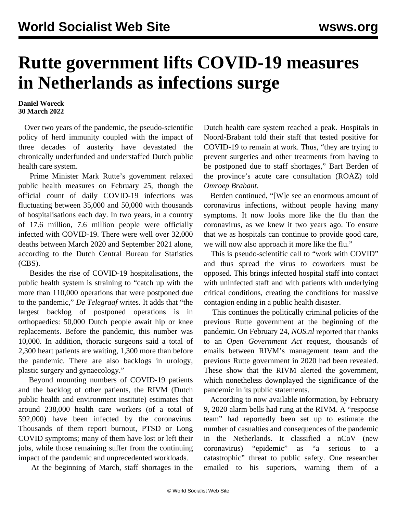## **Rutte government lifts COVID-19 measures in Netherlands as infections surge**

## **Daniel Woreck 30 March 2022**

 Over two years of the pandemic, the pseudo-scientific policy of herd immunity coupled with the impact of three decades of austerity have devastated the chronically underfunded and understaffed Dutch public health care system.

 Prime Minister Mark Rutte's government relaxed public health measures on February 25, though the official count of daily COVID-19 infections was fluctuating between 35,000 and 50,000 with thousands of hospitalisations each day. In two years, in a country of 17.6 million, 7.6 million people were officially infected with COVID-19. There were well over 32,000 deaths between March 2020 and September 2021 alone, according to the Dutch Central Bureau for Statistics (CBS).

 Besides the rise of COVID-19 hospitalisations, the public health system is straining to "catch up with the more than 110,000 operations that were postponed due to the pandemic," *De Telegraaf* writes. It adds that "the largest backlog of postponed operations is in orthopaedics: 50,000 Dutch people await hip or knee replacements. Before the pandemic, this number was 10,000. In addition, thoracic surgeons said a total of 2,300 heart patients are waiting, 1,300 more than before the pandemic. There are also backlogs in urology, plastic surgery and gynaecology."

 Beyond mounting numbers of COVID-19 patients and the backlog of other patients, the RIVM (Dutch public health and environment institute) estimates that around 238,000 health care workers (of a total of 592,000) have been infected by the coronavirus. Thousands of them report burnout, PTSD or Long COVID symptoms; many of them have lost or left their jobs, while those remaining suffer from the continuing impact of the pandemic and unprecedented workloads.

At the beginning of March, staff shortages in the

Dutch health care system reached a peak. Hospitals in Noord-Brabant told their staff that tested positive for COVID-19 to remain at work. Thus, "they are trying to prevent surgeries and other treatments from having to be postponed due to staff shortages," Bart Berden of the province's acute care consultation (ROAZ) told *Omroep Brabant*.

 Berden continued, "[W]e see an enormous amount of coronavirus infections, without people having many symptoms. It now looks more like the flu than the coronavirus, as we knew it two years ago. To ensure that we as hospitals can continue to provide good care, we will now also approach it more like the flu."

 This is pseudo-scientific call to "work with COVID" and thus spread the virus to coworkers must be opposed. This brings infected hospital staff into contact with uninfected staff and with patients with underlying critical conditions, creating the conditions for massive contagion ending in a public health disaster.

 This continues the politically criminal policies of the previous Rutte government at the beginning of the pandemic. On February 24, *[NOS.nl](http://NOS.nl)* reported that thanks to an *Open Government Act* request, thousands of emails between RIVM's management team and the previous Rutte government in 2020 had been revealed. These show that the RIVM alerted the government, which nonetheless downplayed the significance of the pandemic in its public statements.

 According to now available information, by February 9, 2020 alarm bells had rung at the RIVM. A "response team" had reportedly been set up to estimate the number of casualties and consequences of the pandemic in the Netherlands. It classified a nCoV (new coronavirus) "epidemic" as "a serious to a catastrophic" threat to public safety. One researcher emailed to his superiors, warning them of a